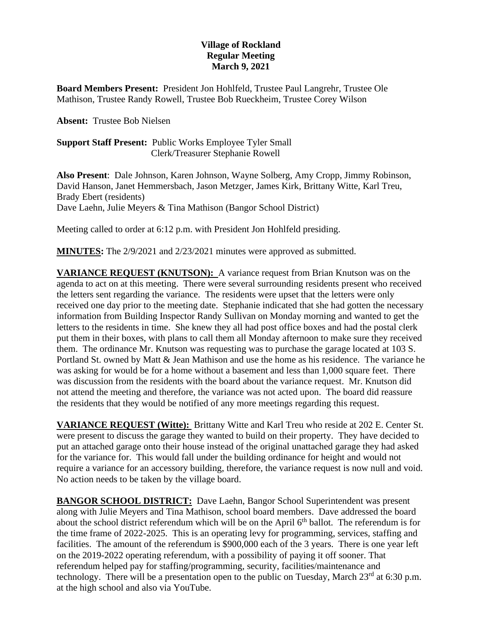## **Village of Rockland Regular Meeting March 9, 2021**

**Board Members Present:** President Jon Hohlfeld, Trustee Paul Langrehr, Trustee Ole Mathison, Trustee Randy Rowell, Trustee Bob Rueckheim, Trustee Corey Wilson

**Absent:** Trustee Bob Nielsen

**Support Staff Present:** Public Works Employee Tyler Small Clerk/Treasurer Stephanie Rowell

**Also Present**: Dale Johnson, Karen Johnson, Wayne Solberg, Amy Cropp, Jimmy Robinson, David Hanson, Janet Hemmersbach, Jason Metzger, James Kirk, Brittany Witte, Karl Treu, Brady Ebert (residents) Dave Laehn, Julie Meyers & Tina Mathison (Bangor School District)

Meeting called to order at 6:12 p.m. with President Jon Hohlfeld presiding.

**MINUTES:** The 2/9/2021 and 2/23/2021 minutes were approved as submitted.

**VARIANCE REQUEST (KNUTSON):** A variance request from Brian Knutson was on the agenda to act on at this meeting. There were several surrounding residents present who received the letters sent regarding the variance. The residents were upset that the letters were only received one day prior to the meeting date. Stephanie indicated that she had gotten the necessary information from Building Inspector Randy Sullivan on Monday morning and wanted to get the letters to the residents in time. She knew they all had post office boxes and had the postal clerk put them in their boxes, with plans to call them all Monday afternoon to make sure they received them. The ordinance Mr. Knutson was requesting was to purchase the garage located at 103 S. Portland St. owned by Matt & Jean Mathison and use the home as his residence. The variance he was asking for would be for a home without a basement and less than 1,000 square feet. There was discussion from the residents with the board about the variance request. Mr. Knutson did not attend the meeting and therefore, the variance was not acted upon. The board did reassure the residents that they would be notified of any more meetings regarding this request.

**VARIANCE REQUEST (Witte):** Brittany Witte and Karl Treu who reside at 202 E. Center St. were present to discuss the garage they wanted to build on their property. They have decided to put an attached garage onto their house instead of the original unattached garage they had asked for the variance for. This would fall under the building ordinance for height and would not require a variance for an accessory building, therefore, the variance request is now null and void. No action needs to be taken by the village board.

**BANGOR SCHOOL DISTRICT:** Dave Laehn, Bangor School Superintendent was present along with Julie Meyers and Tina Mathison, school board members. Dave addressed the board about the school district referendum which will be on the April  $6<sup>th</sup>$  ballot. The referendum is for the time frame of 2022-2025. This is an operating levy for programming, services, staffing and facilities. The amount of the referendum is \$900,000 each of the 3 years. There is one year left on the 2019-2022 operating referendum, with a possibility of paying it off sooner. That referendum helped pay for staffing/programming, security, facilities/maintenance and technology. There will be a presentation open to the public on Tuesday, March  $23<sup>rd</sup>$  at 6:30 p.m. at the high school and also via YouTube.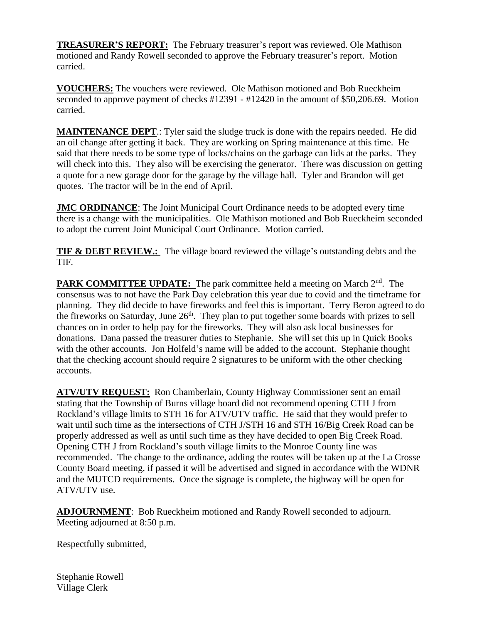**TREASURER'S REPORT:** The February treasurer's report was reviewed. Ole Mathison motioned and Randy Rowell seconded to approve the February treasurer's report. Motion carried.

**VOUCHERS:** The vouchers were reviewed. Ole Mathison motioned and Bob Rueckheim seconded to approve payment of checks #12391 - #12420 in the amount of \$50,206.69. Motion carried.

**MAINTENANCE DEPT**.: Tyler said the sludge truck is done with the repairs needed. He did an oil change after getting it back. They are working on Spring maintenance at this time. He said that there needs to be some type of locks/chains on the garbage can lids at the parks. They will check into this. They also will be exercising the generator. There was discussion on getting a quote for a new garage door for the garage by the village hall. Tyler and Brandon will get quotes. The tractor will be in the end of April.

**JMC ORDINANCE**: The Joint Municipal Court Ordinance needs to be adopted every time there is a change with the municipalities. Ole Mathison motioned and Bob Rueckheim seconded to adopt the current Joint Municipal Court Ordinance. Motion carried.

**TIF & DEBT REVIEW.:** The village board reviewed the village's outstanding debts and the TIF.

PARK COMMITTEE UPDATE: The park committee held a meeting on March 2<sup>nd</sup>. The consensus was to not have the Park Day celebration this year due to covid and the timeframe for planning. They did decide to have fireworks and feel this is important. Terry Beron agreed to do the fireworks on Saturday, June 26<sup>th</sup>. They plan to put together some boards with prizes to sell chances on in order to help pay for the fireworks. They will also ask local businesses for donations. Dana passed the treasurer duties to Stephanie. She will set this up in Quick Books with the other accounts. Jon Holfeld's name will be added to the account. Stephanie thought that the checking account should require 2 signatures to be uniform with the other checking accounts.

**ATV/UTV REQUEST:** Ron Chamberlain, County Highway Commissioner sent an email stating that the Township of Burns village board did not recommend opening CTH J from Rockland's village limits to STH 16 for ATV/UTV traffic. He said that they would prefer to wait until such time as the intersections of CTH J/STH 16 and STH 16/Big Creek Road can be properly addressed as well as until such time as they have decided to open Big Creek Road. Opening CTH J from Rockland's south village limits to the Monroe County line was recommended. The change to the ordinance, adding the routes will be taken up at the La Crosse County Board meeting, if passed it will be advertised and signed in accordance with the WDNR and the MUTCD requirements. Once the signage is complete, the highway will be open for ATV/UTV use.

**ADJOURNMENT**: Bob Rueckheim motioned and Randy Rowell seconded to adjourn. Meeting adjourned at 8:50 p.m.

Respectfully submitted,

Stephanie Rowell Village Clerk